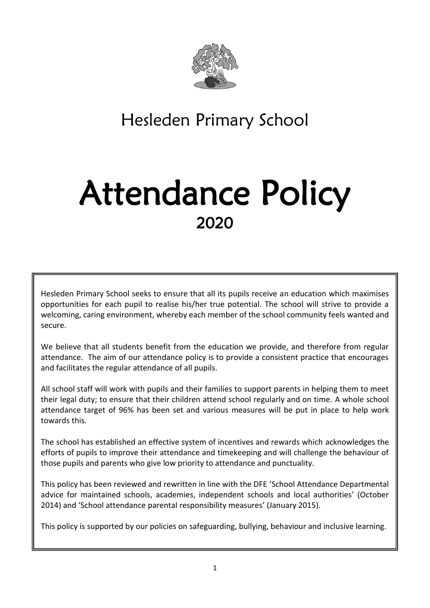

Hesleden Primary School

# Attendance Policy 2020

Hesleden Primary School seeks to ensure that all its pupils receive an education which maximises opportunities for each pupil to realise his/her true potential. The school will strive to provide a welcoming, caring environment, whereby each member of the school community feels wanted and secure.

We believe that all students benefit from the education we provide, and therefore from regular attendance. The aim of our attendance policy is to provide a consistent practice that encourages and facilitates the regular attendance of all pupils.

All school staff will work with pupils and their families to support parents in helping them to meet their legal duty; to ensure that their children attend school regularly and on time. A whole school attendance target of 96% has been set and various measures will be put in place to help work towards this.

The school has established an effective system of incentives and rewards which acknowledges the efforts of pupils to improve their attendance and timekeeping and will challenge the behaviour of those pupils and parents who give low priority to attendance and punctuality.

This policy has been reviewed and rewritten in line with the DFE 'School Attendance Departmental advice for maintained schools, academies, independent schools and local authorities' (October 2014) and 'School attendance parental responsibility measures' (January 2015).

This policy is supported by our policies on safeguarding, bullying, behaviour and inclusive learning.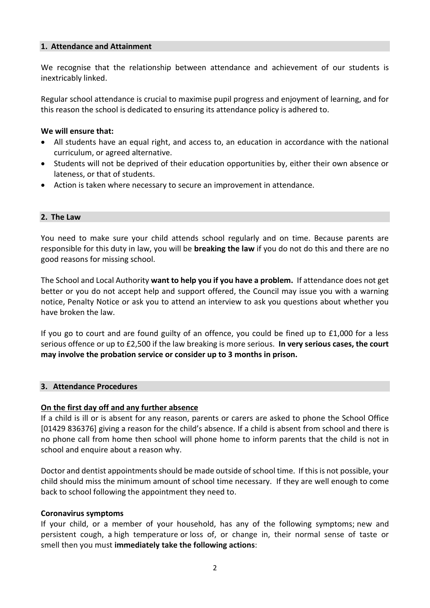#### **1. Attendance and Attainment**

We recognise that the relationship between attendance and achievement of our students is inextricably linked.

Regular school attendance is crucial to maximise pupil progress and enjoyment of learning, and for this reason the school is dedicated to ensuring its attendance policy is adhered to.

#### **We will ensure that:**

- All students have an equal right, and access to, an education in accordance with the national curriculum, or agreed alternative.
- Students will not be deprived of their education opportunities by, either their own absence or lateness, or that of students.
- Action is taken where necessary to secure an improvement in attendance.

#### **2. The Law**

You need to make sure your child attends school regularly and on time. Because parents are responsible for this duty in law, you will be **breaking the law** if you do not do this and there are no good reasons for missing school.

The School and Local Authority **want to help you if you have a problem.** If attendance does not get better or you do not accept help and support offered, the Council may issue you with a warning notice, Penalty Notice or ask you to attend an interview to ask you questions about whether you have broken the law.

If you go to court and are found guilty of an offence, you could be fined up to £1,000 for a less serious offence or up to £2,500 if the law breaking is more serious. **In very serious cases, the court may involve the probation service or consider up to 3 months in prison.**

#### **3. Attendance Procedures**

#### **On the first day off and any further absence**

If a child is ill or is absent for any reason, parents or carers are asked to phone the School Office [01429 836376] giving a reason for the child's absence. If a child is absent from school and there is no phone call from home then school will phone home to inform parents that the child is not in school and enquire about a reason why.

Doctor and dentist appointments should be made outside of school time. If this is not possible, your child should miss the minimum amount of school time necessary. If they are well enough to come back to school following the appointment they need to.

#### **Coronavirus symptoms**

If your child, or a member of your household, has any of the following symptoms; new and persistent cough, a high temperature or loss of, or change in, their normal sense of taste or smell then you must **immediately take the following actions**: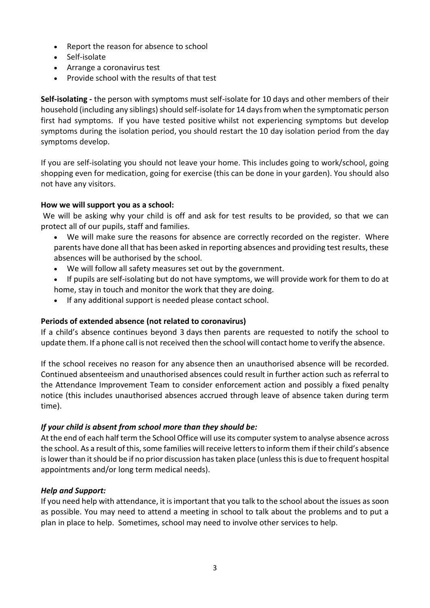- Report the reason for absence to school
- Self-isolate
- Arrange a coronavirus test
- Provide school with the results of that test

**Self-isolating -** the person with symptoms must self-isolate for 10 days and other members of their household (including any siblings) should self-isolate for 14 days from when the symptomatic person first had symptoms. If you have tested positive whilst not experiencing symptoms but develop symptoms during the isolation period, you should restart the 10 day isolation period from the day symptoms develop.

If you are self-isolating you should not leave your home. This includes going to work/school, going shopping even for medication, going for exercise (this can be done in your garden). You should also not have any visitors.

## **How we will support you as a school:**

We will be asking why your child is off and ask for test results to be provided, so that we can protect all of our pupils, staff and families.

- We will make sure the reasons for absence are correctly recorded on the register. Where parents have done all that has been asked in reporting absences and providing test results, these absences will be authorised by the school.
- We will follow all safety measures set out by the government.
- If pupils are self-isolating but do not have symptoms, we will provide work for them to do at home, stay in touch and monitor the work that they are doing.
- If any additional support is needed please contact school.

## **Periods of extended absence (not related to coronavirus)**

If a child's absence continues beyond 3 days then parents are requested to notify the school to update them. If a phone call is not received then the school will contact home to verify the absence.

If the school receives no reason for any absence then an unauthorised absence will be recorded. Continued absenteeism and unauthorised absences could result in further action such as referral to the Attendance Improvement Team to consider enforcement action and possibly a fixed penalty notice (this includes unauthorised absences accrued through leave of absence taken during term time).

## *If your child is absent from school more than they should be:*

At the end of each half term the School Office will use its computer system to analyse absence across the school. As a result of this, some families will receive letters to inform them if their child's absence is lower than it should be if no prior discussion has taken place (unless this is due to frequent hospital appointments and/or long term medical needs).

## *Help and Support:*

If you need help with attendance, it is important that you talk to the school about the issues as soon as possible. You may need to attend a meeting in school to talk about the problems and to put a plan in place to help. Sometimes, school may need to involve other services to help.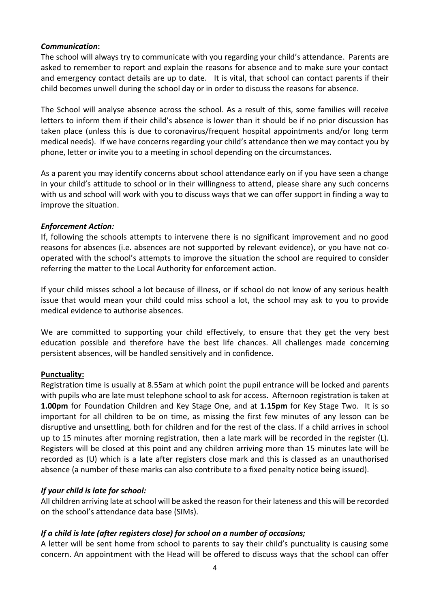## *Communication***:**

The school will always try to communicate with you regarding your child's attendance. Parents are asked to remember to report and explain the reasons for absence and to make sure your contact and emergency contact details are up to date. It is vital, that school can contact parents if their child becomes unwell during the school day or in order to discuss the reasons for absence.

The School will analyse absence across the school. As a result of this, some families will receive letters to inform them if their child's absence is lower than it should be if no prior discussion has taken place (unless this is due to coronavirus/frequent hospital appointments and/or long term medical needs). If we have concerns regarding your child's attendance then we may contact you by phone, letter or invite you to a meeting in school depending on the circumstances.

As a parent you may identify concerns about school attendance early on if you have seen a change in your child's attitude to school or in their willingness to attend, please share any such concerns with us and school will work with you to discuss ways that we can offer support in finding a way to improve the situation.

#### *Enforcement Action:*

If, following the schools attempts to intervene there is no significant improvement and no good reasons for absences (i.e. absences are not supported by relevant evidence), or you have not cooperated with the school's attempts to improve the situation the school are required to consider referring the matter to the Local Authority for enforcement action.

If your child misses school a lot because of illness, or if school do not know of any serious health issue that would mean your child could miss school a lot, the school may ask to you to provide medical evidence to authorise absences.

We are committed to supporting your child effectively, to ensure that they get the very best education possible and therefore have the best life chances. All challenges made concerning persistent absences, will be handled sensitively and in confidence.

#### **Punctuality:**

Registration time is usually at 8.55am at which point the pupil entrance will be locked and parents with pupils who are late must telephone school to ask for access. Afternoon registration is taken at **1.00pm** for Foundation Children and Key Stage One, and at **1.15pm** for Key Stage Two. It is so important for all children to be on time, as missing the first few minutes of any lesson can be disruptive and unsettling, both for children and for the rest of the class. If a child arrives in school up to 15 minutes after morning registration, then a late mark will be recorded in the register (L). Registers will be closed at this point and any children arriving more than 15 minutes late will be recorded as (U) which is a late after registers close mark and this is classed as an unauthorised absence (a number of these marks can also contribute to a fixed penalty notice being issued).

## *If your child is late for school:*

All children arriving late at school will be asked the reason for their lateness and this will be recorded on the school's attendance data base (SIMs).

## *If a child is late (after registers close) for school on a number of occasions;*

A letter will be sent home from school to parents to say their child's punctuality is causing some concern. An appointment with the Head will be offered to discuss ways that the school can offer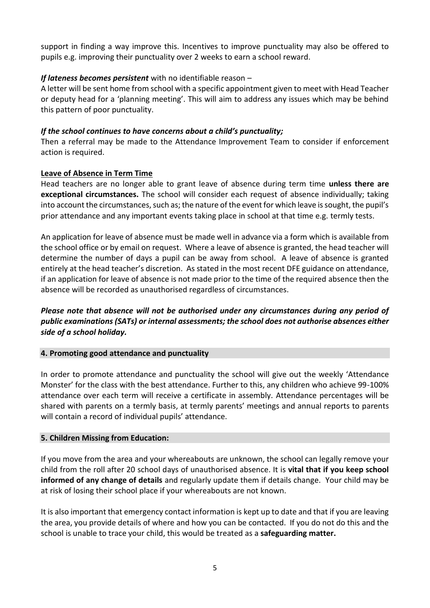support in finding a way improve this. Incentives to improve punctuality may also be offered to pupils e.g. improving their punctuality over 2 weeks to earn a school reward.

## *If lateness becomes persistent* with no identifiable reason –

A letter will be sent home from school with a specific appointment given to meet with Head Teacher or deputy head for a 'planning meeting'. This will aim to address any issues which may be behind this pattern of poor punctuality.

## *If the school continues to have concerns about a child's punctuality;*

Then a referral may be made to the Attendance Improvement Team to consider if enforcement action is required.

## **Leave of Absence in Term Time**

Head teachers are no longer able to grant leave of absence during term time **unless there are exceptional circumstances.** The school will consider each request of absence individually; taking into account the circumstances, such as; the nature of the event for which leave is sought, the pupil's prior attendance and any important events taking place in school at that time e.g. termly tests.

An application for leave of absence must be made well in advance via a form which is available from the school office or by email on request. Where a leave of absence is granted, the head teacher will determine the number of days a pupil can be away from school. A leave of absence is granted entirely at the head teacher's discretion. As stated in the most recent DFE guidance on attendance, if an application for leave of absence is not made prior to the time of the required absence then the absence will be recorded as unauthorised regardless of circumstances.

## *Please note that absence will not be authorised under any circumstances during any period of public examinations (SATs) or internal assessments; the school does not authorise absences either side of a school holiday.*

## **4. Promoting good attendance and punctuality**

In order to promote attendance and punctuality the school will give out the weekly 'Attendance Monster' for the class with the best attendance. Further to this, any children who achieve 99-100% attendance over each term will receive a certificate in assembly. Attendance percentages will be shared with parents on a termly basis, at termly parents' meetings and annual reports to parents will contain a record of individual pupils' attendance.

## **5. Children Missing from Education:**

If you move from the area and your whereabouts are unknown, the school can legally remove your child from the roll after 20 school days of unauthorised absence. It is **vital that if you keep school informed of any change of details** and regularly update them if details change. Your child may be at risk of losing their school place if your whereabouts are not known.

It is also important that emergency contact information is kept up to date and that if you are leaving the area, you provide details of where and how you can be contacted. If you do not do this and the school is unable to trace your child, this would be treated as a **safeguarding matter.**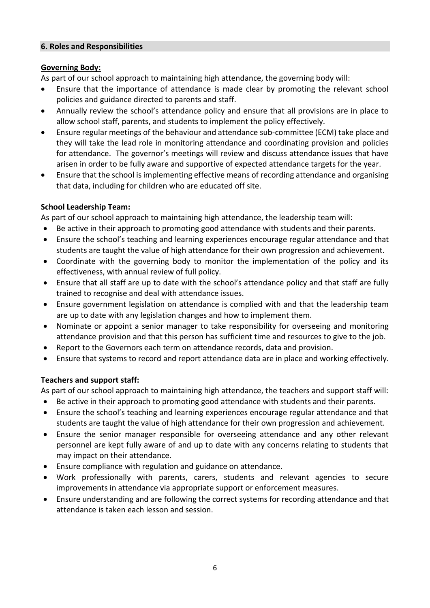#### **6. Roles and Responsibilities**

## **Governing Body:**

As part of our school approach to maintaining high attendance, the governing body will:

- Ensure that the importance of attendance is made clear by promoting the relevant school policies and guidance directed to parents and staff.
- Annually review the school's attendance policy and ensure that all provisions are in place to allow school staff, parents, and students to implement the policy effectively.
- Ensure regular meetings of the behaviour and attendance sub-committee (ECM) take place and they will take the lead role in monitoring attendance and coordinating provision and policies for attendance. The governor's meetings will review and discuss attendance issues that have arisen in order to be fully aware and supportive of expected attendance targets for the year.
- Ensure that the school is implementing effective means of recording attendance and organising that data, including for children who are educated off site.

# **School Leadership Team:**

As part of our school approach to maintaining high attendance, the leadership team will:

- Be active in their approach to promoting good attendance with students and their parents.
- Ensure the school's teaching and learning experiences encourage regular attendance and that students are taught the value of high attendance for their own progression and achievement.
- Coordinate with the governing body to monitor the implementation of the policy and its effectiveness, with annual review of full policy.
- Ensure that all staff are up to date with the school's attendance policy and that staff are fully trained to recognise and deal with attendance issues.
- Ensure government legislation on attendance is complied with and that the leadership team are up to date with any legislation changes and how to implement them.
- Nominate or appoint a senior manager to take responsibility for overseeing and monitoring attendance provision and that this person has sufficient time and resources to give to the job.
- Report to the Governors each term on attendance records, data and provision.
- Ensure that systems to record and report attendance data are in place and working effectively.

# **Teachers and support staff:**

As part of our school approach to maintaining high attendance, the teachers and support staff will:

- Be active in their approach to promoting good attendance with students and their parents.
- Ensure the school's teaching and learning experiences encourage regular attendance and that students are taught the value of high attendance for their own progression and achievement.
- Ensure the senior manager responsible for overseeing attendance and any other relevant personnel are kept fully aware of and up to date with any concerns relating to students that may impact on their attendance.
- Ensure compliance with regulation and guidance on attendance.
- Work professionally with parents, carers, students and relevant agencies to secure improvements in attendance via appropriate support or enforcement measures.
- Ensure understanding and are following the correct systems for recording attendance and that attendance is taken each lesson and session.